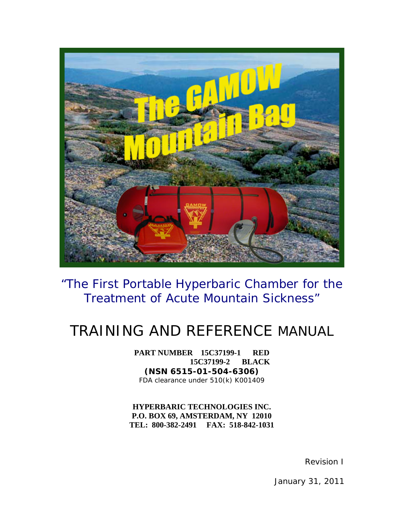

"The First Portable Hyperbaric Chamber for the Treatment of Acute Mountain Sickness"

## TRAINING AND REFERENCE MANUAL

**PART NUMBER 15C37199-1 RED 15C37199-2 BLACK (NSN 6515-01-504-6306)** FDA clearance under 510(k) K001409

**HYPERBARIC TECHNOLOGIES INC. P.O. BOX 69, AMSTERDAM, NY 12010 TEL: 800-382-2491 FAX: 518-842-1031**

Revision I

January 31, 2011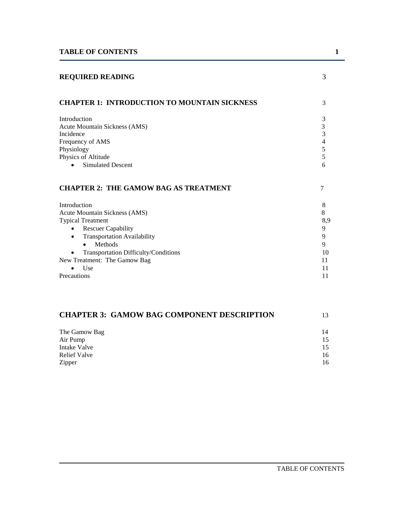| <b>REQUIRED READING</b>                                 | 3        |
|---------------------------------------------------------|----------|
| <b>CHAPTER 1: INTRODUCTION TO MOUNTAIN SICKNESS</b>     | 3        |
| Introduction                                            | 3        |
| <b>Acute Mountain Sickness (AMS)</b>                    | 3        |
| Incidence                                               | 3        |
| Frequency of AMS<br>Physiology                          | 4<br>5   |
| Physics of Altitude                                     | 5        |
| <b>Simulated Descent</b>                                | 6        |
| <b>CHAPTER 2: THE GAMOW BAG AS TREATMENT</b>            | 7        |
| Introduction                                            | 8        |
| Acute Mountain Sickness (AMS)                           | 8        |
| <b>Typical Treatment</b>                                | 8,9      |
| <b>Rescuer Capability</b><br>$\bullet$                  | 9        |
| <b>Transportation Availability</b><br>$\bullet$         | 9        |
| Methods<br>$\bullet$                                    | 9        |
| Transportation Difficulty/Conditions                    | 10<br>11 |
| New Treatment: The Gamow Bag<br><b>Use</b><br>$\bullet$ | 11       |
| Precautions                                             | 11       |
|                                                         |          |
| <b>CHAPTER 3: GAMOW BAG COMPONENT DESCRIPTION</b>       | 13       |

| The Gamow Bag | 14 |
|---------------|----|
| Air Pump      | 15 |
| Intake Valve  | 15 |
| Relief Valve  | 16 |
| Zipper        | 16 |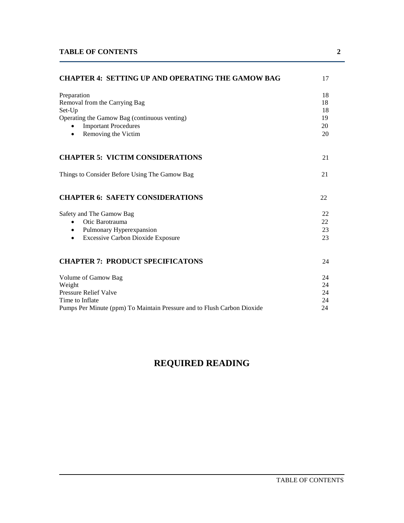| <b>CHAPTER 4: SETTING UP AND OPERATING THE GAMOW BAG</b>                |    |  |  |
|-------------------------------------------------------------------------|----|--|--|
| Preparation                                                             | 18 |  |  |
| Removal from the Carrying Bag                                           | 18 |  |  |
| Set-Up                                                                  | 18 |  |  |
| Operating the Gamow Bag (continuous venting)                            | 19 |  |  |
| <b>Important Procedures</b><br>$\bullet$                                | 20 |  |  |
| Removing the Victim<br>$\bullet$                                        | 20 |  |  |
| <b>CHAPTER 5: VICTIM CONSIDERATIONS</b>                                 | 21 |  |  |
| Things to Consider Before Using The Gamow Bag                           | 21 |  |  |
| <b>CHAPTER 6: SAFETY CONSIDERATIONS</b>                                 | 22 |  |  |
| Safety and The Gamow Bag                                                | 22 |  |  |
| Otic Barotrauma<br>$\bullet$                                            | 22 |  |  |
| Pulmonary Hyperexpansion<br>$\bullet$                                   | 23 |  |  |
| <b>Excessive Carbon Dioxide Exposure</b><br>$\bullet$                   | 23 |  |  |
| <b>CHAPTER 7: PRODUCT SPECIFICATONS</b>                                 | 24 |  |  |
| Volume of Gamow Bag                                                     | 24 |  |  |
| Weight                                                                  | 24 |  |  |
| <b>Pressure Relief Valve</b>                                            | 24 |  |  |
| Time to Inflate                                                         | 24 |  |  |
| Pumps Per Minute (ppm) To Maintain Pressure and to Flush Carbon Dioxide | 24 |  |  |

### **REQUIRED READING**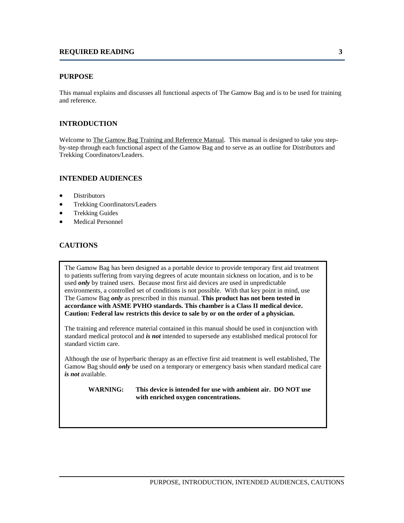#### **PURPOSE**

This manual explains and discusses all functional aspects of The Gamow Bag and is to be used for training and reference.

#### **INTRODUCTION**

Welcome to The Gamow Bag Training and Reference Manual. This manual is designed to take you stepby-step through each functional aspect of the Gamow Bag and to serve as an outline for Distributors and Trekking Coordinators/Leaders.

#### **INTENDED AUDIENCES**

- **Distributors**
- Trekking Coordinators/Leaders
- Trekking Guides
- Medical Personnel

#### **CAUTIONS**

The Gamow Bag has been designed as a portable device to provide temporary first aid treatment to patients suffering from varying degrees of acute mountain sickness on location, and is to be used *only* by trained users. Because most first aid devices are used in unpredictable environments, a controlled set of conditions is not possible. With that key point in mind, use The Gamow Bag *only* as prescribed in this manual. **This product has not been tested in accordance with ASME PVHO standards. This chamber is a Class II medical device. Caution: Federal law restricts this device to sale by or on the order of a physician.**

The training and reference material contained in this manual should be used in conjunction with standard medical protocol and *is not* intended to supersede any established medical protocol for standard victim care.

Although the use of hyperbaric therapy as an effective first aid treatment is well established, The Gamow Bag should *only* be used on a temporary or emergency basis when standard medical care *is not* available.

**WARNING: This device is intended for use with ambient air. DO NOT use with enriched oxygen concentrations.**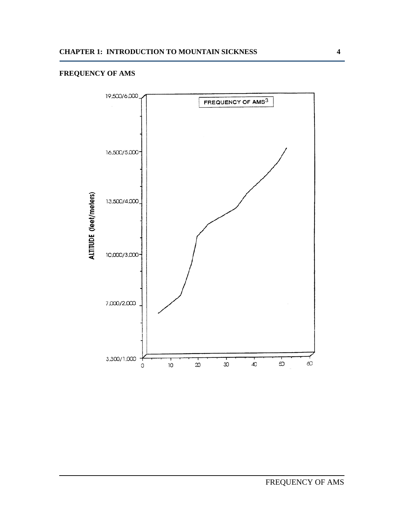#### **FREQUENCY OF AMS**

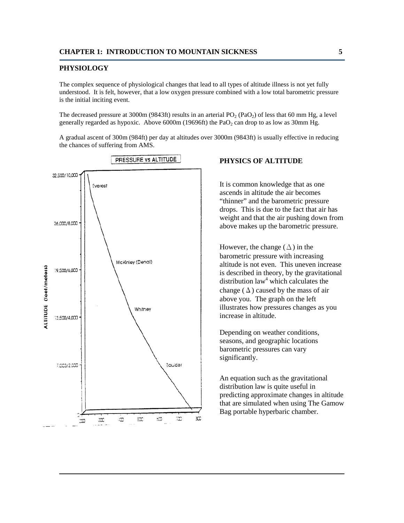#### **PHYSIOLOGY**

The complex sequence of physiological changes that lead to all types of altitude illness is not yet fully understood. It is felt, however, that a low oxygen pressure combined with a low total barometric pressure is the initial inciting event.

The decreased pressure at 3000m (9843ft) results in an arterial  $PO<sub>2</sub> (PaO<sub>2</sub>)$  of less that 60 mm Hg, a level generally regarded as hypoxic. Above  $6000m$  (19696ft) the PaO<sub>2</sub> can drop to as low as 30mm Hg.

A gradual ascent of 300m (984ft) per day at altitudes over 3000m (9843ft) is usually effective in reducing the chances of suffering from AMS.



#### **PHYSICS OF ALTITUDE**

It is common knowledge that as one ascends in altitude the air becomes "thinner" and the barometric pressure drops. This is due to the fact that air has weight and that the air pushing down from above makes up the barometric pressure.

However, the change  $(\Delta)$  in the barometric pressure with increasing altitude is not even. This uneven increase is described in theory, by the gravitational distribution  $law<sup>4</sup>$  which calculates the change  $(\Delta)$  caused by the mass of air above you. The graph on the left illustrates how pressures changes as you increase in altitude.

Depending on weather conditions, seasons, and geographic locations barometric pressures can vary significantly.

An equation such as the gravitational distribution law is quite useful in predicting approximate changes in altitude that are simulated when using The Gamow Bag portable hyperbaric chamber.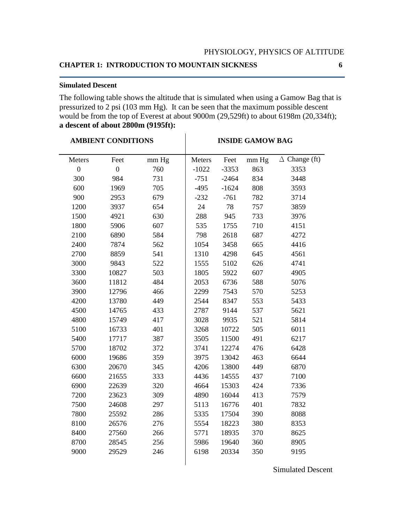#### **Simulated Descent**

The following table shows the altitude that is simulated when using a Gamow Bag that is pressurized to 2 psi (103 mm Hg). It can be seen that the maximum possible descent would be from the top of Everest at about 9000m (29,529ft) to about 6198m (20,334ft); **a descent of about 2800m (9195ft):**

| <b>AMBIENT CONDITIONS</b> |                | <b>INSIDE GAMOW BAG</b> |         |         |       |                      |
|---------------------------|----------------|-------------------------|---------|---------|-------|----------------------|
| Meters                    | Feet           | mm Hg                   | Meters  | Feet    | mm Hg | $\Delta$ Change (ft) |
| $\overline{0}$            | $\overline{0}$ | 760                     | $-1022$ | $-3353$ | 863   | 3353                 |
| 300                       | 984            | 731                     | $-751$  | $-2464$ | 834   | 3448                 |
| 600                       | 1969           | 705                     | $-495$  | $-1624$ | 808   | 3593                 |
| 900                       | 2953           | 679                     | $-232$  | $-761$  | 782   | 3714                 |
| 1200                      | 3937           | 654                     | 24      | 78      | 757   | 3859                 |
| 1500                      | 4921           | 630                     | 288     | 945     | 733   | 3976                 |
| 1800                      | 5906           | 607                     | 535     | 1755    | 710   | 4151                 |
| 2100                      | 6890           | 584                     | 798     | 2618    | 687   | 4272                 |
| 2400                      | 7874           | 562                     | 1054    | 3458    | 665   | 4416                 |
| 2700                      | 8859           | 541                     | 1310    | 4298    | 645   | 4561                 |
| 3000                      | 9843           | 522                     | 1555    | 5102    | 626   | 4741                 |
| 3300                      | 10827          | 503                     | 1805    | 5922    | 607   | 4905                 |
| 3600                      | 11812          | 484                     | 2053    | 6736    | 588   | 5076                 |
| 3900                      | 12796          | 466                     | 2299    | 7543    | 570   | 5253                 |
| 4200                      | 13780          | 449                     | 2544    | 8347    | 553   | 5433                 |
| 4500                      | 14765          | 433                     | 2787    | 9144    | 537   | 5621                 |
| 4800                      | 15749          | 417                     | 3028    | 9935    | 521   | 5814                 |
| 5100                      | 16733          | 401                     | 3268    | 10722   | 505   | 6011                 |
| 5400                      | 17717          | 387                     | 3505    | 11500   | 491   | 6217                 |
| 5700                      | 18702          | 372                     | 3741    | 12274   | 476   | 6428                 |
| 6000                      | 19686          | 359                     | 3975    | 13042   | 463   | 6644                 |
| 6300                      | 20670          | 345                     | 4206    | 13800   | 449   | 6870                 |
| 6600                      | 21655          | 333                     | 4436    | 14555   | 437   | 7100                 |
| 6900                      | 22639          | 320                     | 4664    | 15303   | 424   | 7336                 |
| 7200                      | 23623          | 309                     | 4890    | 16044   | 413   | 7579                 |
| 7500                      | 24608          | 297                     | 5113    | 16776   | 401   | 7832                 |
| 7800                      | 25592          | 286                     | 5335    | 17504   | 390   | 8088                 |
| 8100                      | 26576          | 276                     | 5554    | 18223   | 380   | 8353                 |
| 8400                      | 27560          | 266                     | 5771    | 18935   | 370   | 8625                 |
| 8700                      | 28545          | 256                     | 5986    | 19640   | 360   | 8905                 |
| 9000                      | 29529          | 246                     | 6198    | 20334   | 350   | 9195                 |
|                           |                |                         |         |         |       |                      |

Simulated Descent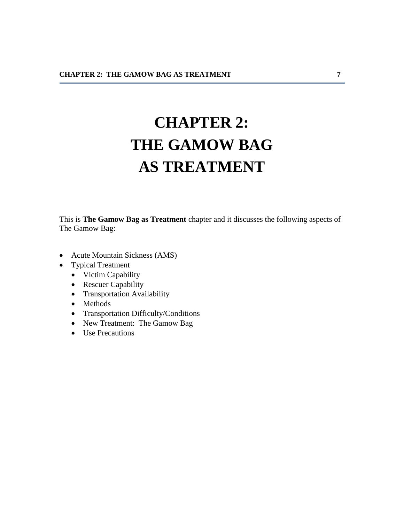# **CHAPTER 2: THE GAMOW BAG AS TREATMENT**

This is **The Gamow Bag as Treatment** chapter and it discusses the following aspects of The Gamow Bag:

- Acute Mountain Sickness (AMS)
- Typical Treatment
	- Victim Capability
	- Rescuer Capability
	- Transportation Availability
	- Methods
	- Transportation Difficulty/Conditions
	- New Treatment: The Gamow Bag
	- Use Precautions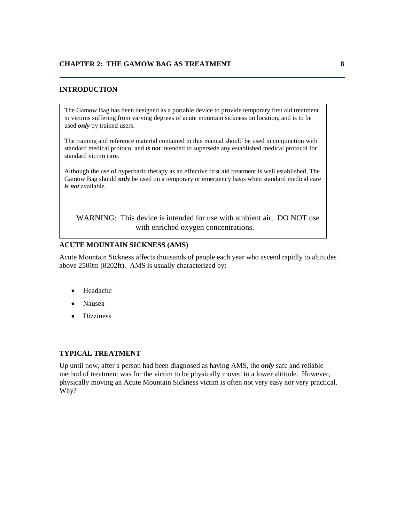#### **INTRODUCTION**

The Gamow Bag has been designed as a portable device to provide temporary first aid treatment to victims suffering from varying degrees of acute mountain sickness on location, and is to be used *only* by trained users.

The training and reference material contained in this manual should be used in conjunction with standard medical protocol and *is not* intended to supersede any established medical protocol for standard victim care.

Although the use of hyperbaric therapy as an effective first aid treatment is well established, The Gamow Bag should *only* be used on a temporary or emergency basis when standard medical care *is not* available.

WARNING: This device is intended for use with ambient air. DO NOT use with enriched oxygen concentrations.

#### **ACUTE MOUNTAIN SICKNESS (AMS)**

Acute Mountain Sickness affects thousands of people each year who ascend rapidly to altitudes above 2500m (8202ft). AMS is usually characterized by:

- Headache
- Nausea
- Dizziness

#### **TYPICAL TREATMENT**

Up until now, after a person had been diagnosed as having AMS, the *only* safe and reliable method of treatment was for the victim to be physically moved to a lower altitude. However, physically moving an Acute Mountain Sickness victim is often not very easy nor very practical. Why?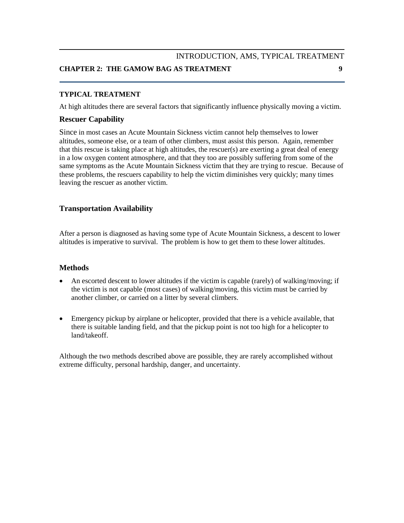### INTRODUCTION, AMS, TYPICAL TREATMENT **CHAPTER 2: THE GAMOW BAG AS TREATMENT 9**

#### **TYPICAL TREATMENT**

At high altitudes there are several factors that significantly influence physically moving a victim.

#### **Rescuer Capability**

Since in most cases an Acute Mountain Sickness victim cannot help themselves to lower altitudes, someone else, or a team of other climbers, must assist this person. Again, remember that this rescue is taking place at high altitudes, the rescuer(s) are exerting a great deal of energy in a low oxygen content atmosphere, and that they too are possibly suffering from some of the same symptoms as the Acute Mountain Sickness victim that they are trying to rescue. Because of these problems, the rescuers capability to help the victim diminishes very quickly; many times leaving the rescuer as another victim.

#### **Transportation Availability**

After a person is diagnosed as having some type of Acute Mountain Sickness, a descent to lower altitudes is imperative to survival. The problem is how to get them to these lower altitudes.

#### **Methods**

- An escorted descent to lower altitudes if the victim is capable (rarely) of walking/moving; if the victim is not capable (most cases) of walking/moving, this victim must be carried by another climber, or carried on a litter by several climbers.
- Emergency pickup by airplane or helicopter, provided that there is a vehicle available, that there is suitable landing field, and that the pickup point is not too high for a helicopter to land/takeoff.

Although the two methods described above are possible, they are rarely accomplished without extreme difficulty, personal hardship, danger, and uncertainty.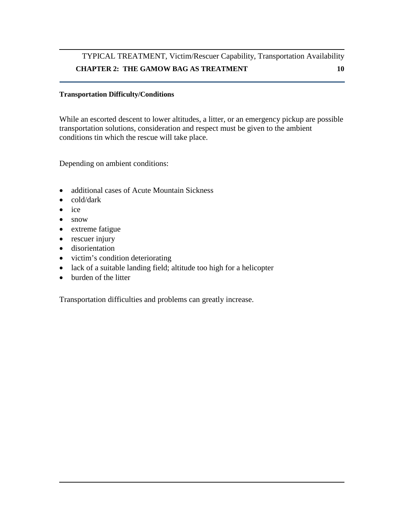### TYPICAL TREATMENT, Victim/Rescuer Capability, Transportation Availability **CHAPTER 2: THE GAMOW BAG AS TREATMENT 10**

#### **Transportation Difficulty/Conditions**

While an escorted descent to lower altitudes, a litter, or an emergency pickup are possible transportation solutions, consideration and respect must be given to the ambient conditions tin which the rescue will take place.

Depending on ambient conditions:

- additional cases of Acute Mountain Sickness
- cold/dark
- ice
- snow
- extreme fatigue
- rescuer injury
- disorientation
- victim's condition deteriorating
- lack of a suitable landing field; altitude too high for a helicopter
- burden of the litter

Transportation difficulties and problems can greatly increase.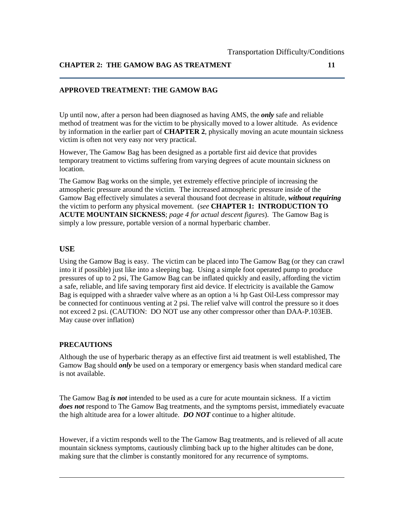#### **APPROVED TREATMENT: THE GAMOW BAG**

Up until now, after a person had been diagnosed as having AMS, the *only* safe and reliable method of treatment was for the victim to be physically moved to a lower altitude. As evidence by information in the earlier part of **CHAPTER 2**, physically moving an acute mountain sickness victim is often not very easy nor very practical.

However, The Gamow Bag has been designed as a portable first aid device that provides temporary treatment to victims suffering from varying degrees of acute mountain sickness on location.

The Gamow Bag works on the simple, yet extremely effective principle of increasing the atmospheric pressure around the victim. The increased atmospheric pressure inside of the Gamow Bag effectively simulates a several thousand foot decrease in altitude, *without requiring* the victim to perform any physical movement. (*see* **CHAPTER 1: INTRODUCTION TO ACUTE MOUNTAIN SICKNESS**; *page 4 for actual descent figures*). The Gamow Bag is simply a low pressure, portable version of a normal hyperbaric chamber.

#### **USE**

Using the Gamow Bag is easy. The victim can be placed into The Gamow Bag (or they can crawl into it if possible) just like into a sleeping bag. Using a simple foot operated pump to produce pressures of up to 2 psi, The Gamow Bag can be inflated quickly and easily, affording the victim a safe, reliable, and life saving temporary first aid device. If electricity is available the Gamow Bag is equipped with a shraeder valve where as an option a  $\frac{1}{4}$  hp Gast Oil-Less compressor may be connected for continuous venting at 2 psi. The relief valve will control the pressure so it does not exceed 2 psi. (CAUTION: DO NOT use any other compressor other than DAA-P.103EB. May cause over inflation)

#### **PRECAUTIONS**

Although the use of hyperbaric therapy as an effective first aid treatment is well established, The Gamow Bag should *only* be used on a temporary or emergency basis when standard medical care is not available.

The Gamow Bag *is not* intended to be used as a cure for acute mountain sickness. If a victim *does not* respond to The Gamow Bag treatments, and the symptoms persist, immediately evacuate the high altitude area for a lower altitude. *DO NOT* continue to a higher altitude.

However, if a victim responds well to the The Gamow Bag treatments, and is relieved of all acute mountain sickness symptoms, cautiously climbing back up to the higher altitudes can be done, making sure that the climber is constantly monitored for any recurrence of symptoms.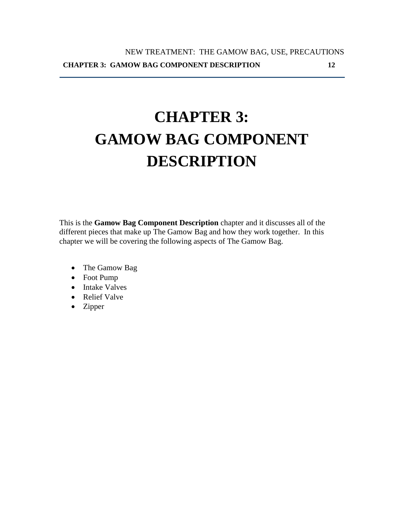# **CHAPTER 3: GAMOW BAG COMPONENT DESCRIPTION**

This is the **Gamow Bag Component Description** chapter and it discusses all of the different pieces that make up The Gamow Bag and how they work together. In this chapter we will be covering the following aspects of The Gamow Bag.

- The Gamow Bag
- Foot Pump
- Intake Valves
- Relief Valve
- Zipper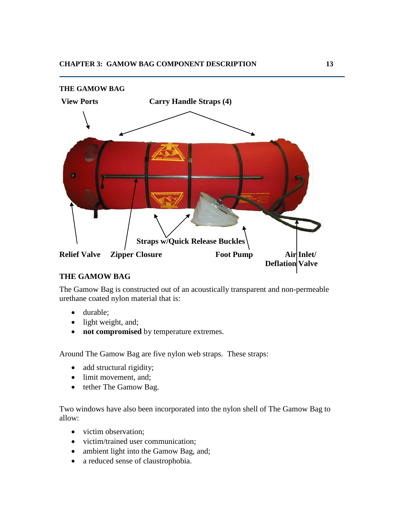

#### **THE GAMOW BAG**

The Gamow Bag is constructed out of an acoustically transparent and non-permeable urethane coated nylon material that is:

- durable;
- light weight, and;
- **not compromised** by temperature extremes.

Around The Gamow Bag are five nylon web straps. These straps:

- add structural rigidity;
- limit movement, and;
- tether The Gamow Bag.

Two windows have also been incorporated into the nylon shell of The Gamow Bag to allow:

- victim observation;
- victim/trained user communication;
- ambient light into the Gamow Bag, and;
- a reduced sense of claustrophobia.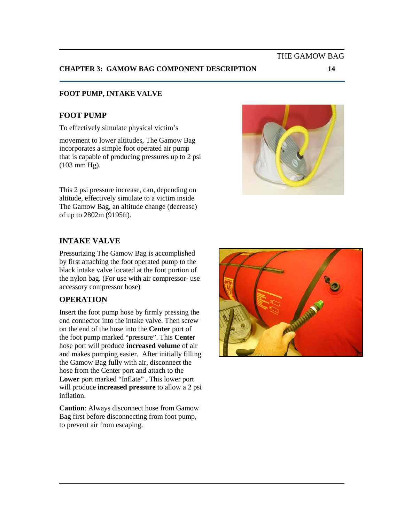#### **CHAPTER 3: GAMOW BAG COMPONENT DESCRIPTION 14**

#### **FOOT PUMP, INTAKE VALVE**

#### **FOOT PUMP**

To effectively simulate physical victim's

movement to lower altitudes, The Gamow Bag incorporates a simple foot operated air pump that is capable of producing pressures up to 2 psi (103 mm Hg).

This 2 psi pressure increase, can, depending on altitude, effectively simulate to a victim inside The Gamow Bag, an altitude change (decrease)

# of up to 2802m (9195ft).

#### **INTAKE VALVE**

Pressurizing The Gamow Bag is accomplished by first attaching the foot operated pump to the black intake valve located at the foot portion of the nylon bag. (For use with air compressor- use accessory compressor hose)

#### **OPERATION**

Insert the foot pump hose by firmly pressing the end connector into the intake valve. Then screw on the end of the hose into the **Center** port of the foot pump marked "pressure". This **Cente**r hose port will produce **increased volume** of air and makes pumping easier. After initially filling the Gamow Bag fully with air, disconnect the hose from the Center port and attach to the **Lower** port marked "Inflate" . This lower port will produce **increased pressure** to allow a 2 psi inflation.

**Caution**: Always disconnect hose from Gamow Bag first before disconnecting from foot pump, to prevent air from escaping.





THE GAMOW BAG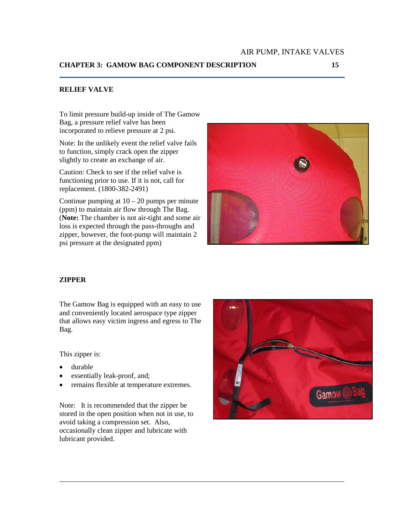To limit pressure build-up inside of The Gamow Bag, a pressure relief valve has been incorporated to relieve pressure at 2 psi.

Note: In the unlikely event the relief valve fails to function, simply crack open the zipper slightly to create an exchange of air.

Caution: Check to see if the relief valve is functioning prior to use. If it is not, call for replacement. (1800-382-2491)

Continue pumping at  $10 - 20$  pumps per minute (ppm) to maintain air flow through The Bag. (**Note:** The chamber is not air-tight and some air loss is expected through the pass-throughs and zipper, however, the foot-pump will maintain 2 psi pressure at the designated ppm)



#### **ZIPPER**

The Gamow Bag is equipped with an easy to use and conveniently located aerospace type zipper that allows easy victim ingress and egress to The Bag.

This zipper is:

- durable
- essentially leak-proof, and;
- remains flexible at temperature extremes.

Note: It is recommended that the zipper be stored in the open position when not in use, to avoid taking a compression set. Also, occasionally clean zipper and lubricate with lubricant provided.

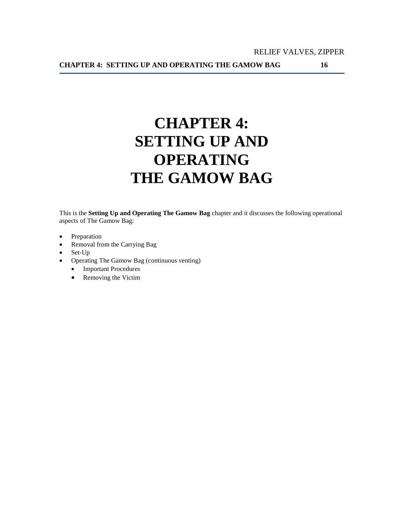# **CHAPTER 4: SETTING UP AND OPERATING THE GAMOW BAG**

This is the **Setting Up and Operating The Gamow Bag** chapter and it discusses the following operational aspects of The Gamow Bag:

- Preparation
- Removal from the Carrying Bag
- Set-Up
- Operating The Gamow Bag (continuous venting)
	- Important Procedures
	- Removing the Victim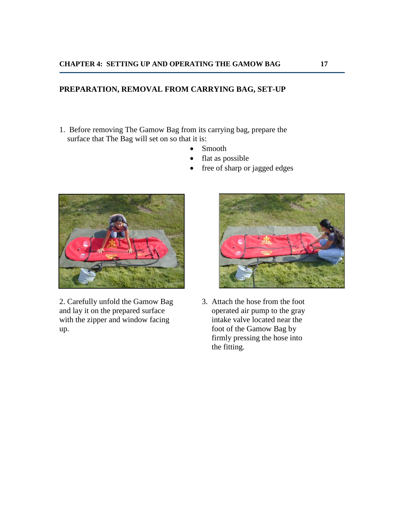#### **PREPARATION, REMOVAL FROM CARRYING BAG, SET-UP**

- 1. Before removing The Gamow Bag from its carrying bag, prepare the surface that The Bag will set on so that it is:
	- Smooth
	- flat as possible
	- free of sharp or jagged edges



2. Carefully unfold the Gamow Bag 3. Attach the hose from the foot and lay it on the prepared surface operated air pump to the gray and lay it on the prepared surface operated air pump to the gray<br>with the zipper and window facing intake valve located near the with the zipper and window facing up. foot of the Gamow Bag by



 firmly pressing the hose into the fitting.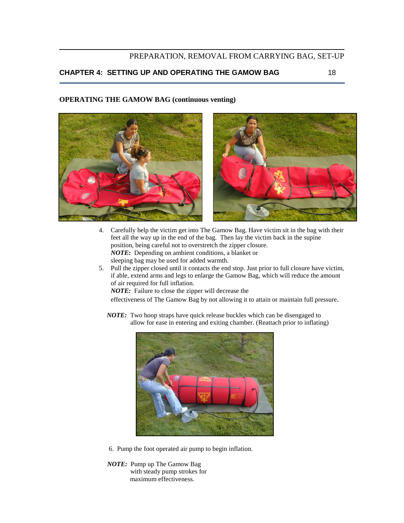#### PREPARATION, REMOVAL FROM CARRYING BAG, SET-UP

#### **CHAPTER 4: SETTING UP AND OPERATING THE GAMOW BAG** 18

#### **OPERATING THE GAMOW BAG (continuous venting)**



- 4. Carefully help the victim get into The Gamow Bag. Have victim sit in the bag with their feet all the way up in the end of the bag. Then lay the victim back in the supine position, being careful not to overstretch the zipper closure. *NOTE:* Depending on ambient conditions, a blanket or sleeping bag may be used for added warmth.
- 5. Pull the zipper closed until it contacts the end stop. Just prior to full closure have victim, if able, extend arms and legs to enlarge the Gamow Bag, which will reduce the amount of air required for full inflation.

*NOTE:* Failure to close the zipper will decrease the

effectiveness of The Gamow Bag by not allowing it to attain or maintain full pressure.

*NOTE:* Two hoop straps have quick release buckles which can be disengaged to allow for ease in entering and exiting chamber. (Reattach prior to inflating)



- 6. Pump the foot operated air pump to begin inflation.
- *NOTE:* Pump up The Gamow Bag with steady pump strokes for maximum effectiveness.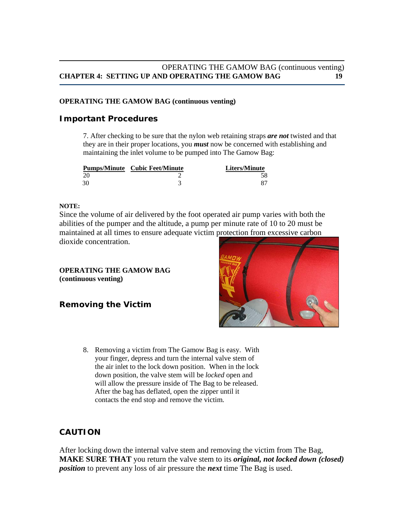#### OPERATING THE GAMOW BAG (continuous venting) **CHAPTER 4: SETTING UP AND OPERATING THE GAMOW BAG 19**

#### **OPERATING THE GAMOW BAG (continuous venting)**

#### **Important Procedures**

7. After checking to be sure that the nylon web retaining straps *are not* twisted and that they are in their proper locations, you *must* now be concerned with establishing and maintaining the inlet volume to be pumped into The Gamow Bag:

| <b>Pumps/Minute</b> Cubic Feet/Minute | <b>Liters/Minute</b> |
|---------------------------------------|----------------------|
|                                       |                      |
|                                       |                      |

#### **NOTE:**

Since the volume of air delivered by the foot operated air pump varies with both the abilities of the pumper and the altitude, a pump per minute rate of 10 to 20 must be maintained at all times to ensure adequate victim protection from excessive carbon dioxide concentration.

#### **OPERATING THE GAMOW BAG (continuous venting)**

#### **Removing the Victim**



8. Removing a victim from The Gamow Bag is easy. With your finger, depress and turn the internal valve stem of the air inlet to the lock down position. When in the lock down position, the valve stem will be *locked* open and will allow the pressure inside of The Bag to be released. After the bag has deflated, open the zipper until it contacts the end stop and remove the victim.

#### **CAUTION**

After locking down the internal valve stem and removing the victim from The Bag, **MAKE SURE THAT** you return the valve stem to its *original, not locked down (closed) position* to prevent any loss of air pressure the *next* time The Bag is used.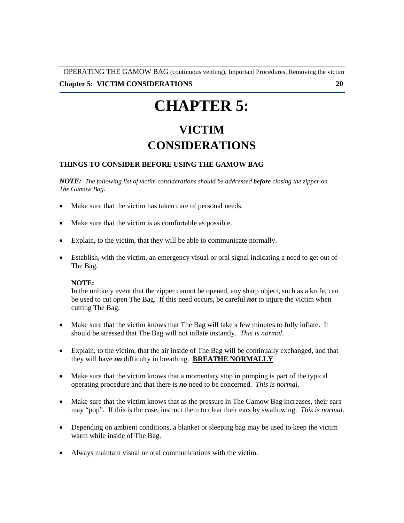OPERATING THE GAMOW BAG (continuous venting), Important Procedures, Removing the victim

#### **Chapter 5: VICTIM CONSIDERATIONS** 20

# **CHAPTER 5:**

## **VICTIM CONSIDERATIONS**

#### **THINGS TO CONSIDER BEFORE USING THE GAMOW BAG**

*NOTE: The following list of victim considerations should be addressed before closing the zipper on The Gamow Bag.*

- Make sure that the victim has taken care of personal needs.
- Make sure that the victim is as comfortable as possible.
- Explain, to the victim, that they will be able to communicate normally.
- Establish, with the victim, an emergency visual or oral signal indicating a need to get out of The Bag.

#### **NOTE:**

In the unlikely event that the zipper cannot be opened, any sharp object, such as a knife, can be used to cut open The Bag. If this need occurs, be careful *not* to injure the victim when cutting The Bag.

- Make sure that the victim knows that The Bag will take a few minutes to fully inflate. It should be stressed that The Bag will not inflate instantly. *This is normal.*
- Explain, to the victim, that the air inside of The Bag will be continually exchanged, and that they will have *no* difficulty in breathing. **BREATHE NORMALLY**
- Make sure that the victim knows that a momentary stop in pumping is part of the typical operating procedure and that there is *no* need to be concerned. *This is normal.*
- Make sure that the victim knows that as the pressure in The Gamow Bag increases, their ears may "pop". If this is the case, instruct them to clear their ears by swallowing. *This is normal.*
- Depending on ambient conditions, a blanket or sleeping bag may be used to keep the victim warm while inside of The Bag.
- Always maintain visual or oral communications with the victim.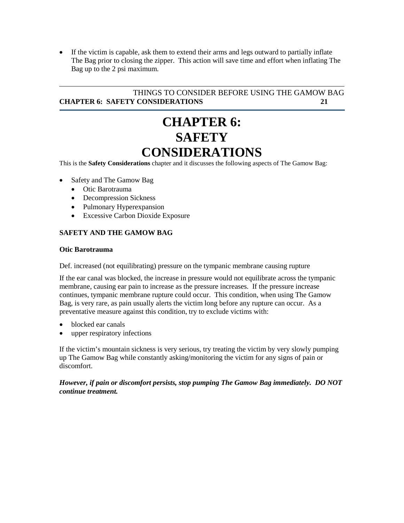• If the victim is capable, ask them to extend their arms and legs outward to partially inflate The Bag prior to closing the zipper. This action will save time and effort when inflating The Bag up to the 2 psi maximum.

#### THINGS TO CONSIDER BEFORE USING THE GAMOW BAG **CHAPTER 6: SAFETY CONSIDERATIONS 21**

## **CHAPTER 6: SAFETY CONSIDERATIONS**

This is the **Safety Considerations** chapter and it discusses the following aspects of The Gamow Bag:

- Safety and The Gamow Bag
	- Otic Barotrauma
	- Decompression Sickness
	- Pulmonary Hyperexpansion
	- Excessive Carbon Dioxide Exposure

#### **SAFETY AND THE GAMOW BAG**

#### **Otic Barotrauma**

Def. increased (not equilibrating) pressure on the tympanic membrane causing rupture

If the ear canal was blocked, the increase in pressure would not equilibrate across the tympanic membrane, causing ear pain to increase as the pressure increases. If the pressure increase continues, tympanic membrane rupture could occur. This condition, when using The Gamow Bag, is very rare, as pain usually alerts the victim long before any rupture can occur. As a preventative measure against this condition, try to exclude victims with:

- blocked ear canals
- upper respiratory infections

If the victim's mountain sickness is very serious, try treating the victim by very slowly pumping up The Gamow Bag while constantly asking/monitoring the victim for any signs of pain or discomfort.

*However, if pain or discomfort persists, stop pumping The Gamow Bag immediately. DO NOT continue treatment.*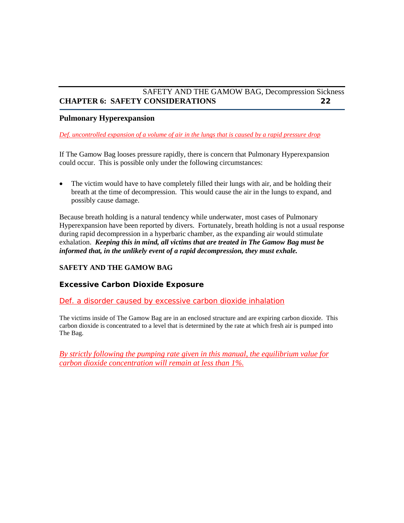#### SAFETY AND THE GAMOW BAG, Decompression Sickness **CHAPTER 6: SAFETY CONSIDERATIONS 22**

#### **Pulmonary Hyperexpansion**

*Def. uncontrolled expansion of a volume of air in the lungs that is caused by a rapid pressure drop*

If The Gamow Bag looses pressure rapidly, there is concern that Pulmonary Hyperexpansion could occur. This is possible only under the following circumstances:

• The victim would have to have completely filled their lungs with air, and be holding their breath at the time of decompression. This would cause the air in the lungs to expand, and possibly cause damage.

Because breath holding is a natural tendency while underwater, most cases of Pulmonary Hyperexpansion have been reported by divers. Fortunately, breath holding is not a usual response during rapid decompression in a hyperbaric chamber, as the expanding air would stimulate exhalation. *Keeping this in mind, all victims that are treated in The Gamow Bag must be informed that, in the unlikely event of a rapid decompression, they must exhale.*

#### **SAFETY AND THE GAMOW BAG**

#### **Excessive Carbon Dioxide Exposure**

#### *Def. a disorder caused by excessive carbon dioxide inhalation*

The victims inside of The Gamow Bag are in an enclosed structure and are expiring carbon dioxide. This carbon dioxide is concentrated to a level that is determined by the rate at which fresh air is pumped into The Bag.

*By strictly following the pumping rate given in this manual, the equilibrium value for carbon dioxide concentration will remain at less than 1%.*